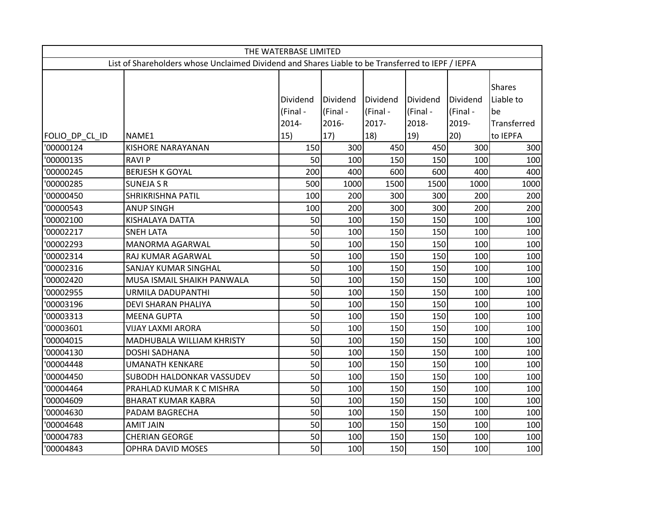| THE WATERBASE LIMITED                                                                             |                            |                      |                      |                      |                      |                      |                                  |  |  |
|---------------------------------------------------------------------------------------------------|----------------------------|----------------------|----------------------|----------------------|----------------------|----------------------|----------------------------------|--|--|
| List of Shareholders whose Unclaimed Dividend and Shares Liable to be Transferred to IEPF / IEPFA |                            |                      |                      |                      |                      |                      |                                  |  |  |
|                                                                                                   |                            | Dividend<br>(Final - | Dividend<br>(Final - | Dividend<br>(Final - | Dividend<br>(Final - | Dividend<br>(Final - | <b>Shares</b><br>Liable to<br>be |  |  |
|                                                                                                   |                            | 2014-                | 2016-                | 2017-                | 2018-                | 2019-                | Transferred                      |  |  |
| FOLIO DP CL ID                                                                                    | NAME1                      | 15)                  | 17)                  | 18)                  | 19)                  | 20)                  | to IEPFA                         |  |  |
| '00000124                                                                                         | <b>KISHORE NARAYANAN</b>   | 150                  | 300                  | 450                  | 450                  | 300                  | 300                              |  |  |
| '00000135                                                                                         | <b>RAVIP</b>               | 50                   | 100                  | 150                  | 150                  | 100                  | 100                              |  |  |
| '00000245                                                                                         | <b>BERJESH K GOYAL</b>     | 200                  | 400                  | 600                  | 600                  | 400                  | 400                              |  |  |
| '00000285                                                                                         | <b>SUNEJA S R</b>          | 500                  | 1000                 | 1500                 | 1500                 | 1000                 | 1000                             |  |  |
| '00000450                                                                                         | <b>SHRIKRISHNA PATIL</b>   | 100                  | 200                  | 300                  | 300                  | 200                  | 200                              |  |  |
| '00000543                                                                                         | <b>ANUP SINGH</b>          | 100                  | 200                  | 300                  | 300                  | 200                  | 200                              |  |  |
| '00002100                                                                                         | KISHALAYA DATTA            | 50                   | 100                  | 150                  | 150                  | 100                  | 100                              |  |  |
| '00002217                                                                                         | <b>SNEH LATA</b>           | 50                   | 100                  | 150                  | 150                  | 100                  | 100                              |  |  |
| '00002293                                                                                         | MANORMA AGARWAL            | 50                   | 100                  | 150                  | 150                  | 100                  | 100                              |  |  |
| '00002314                                                                                         | RAJ KUMAR AGARWAL          | 50                   | 100                  | 150                  | 150                  | 100                  | 100                              |  |  |
| '00002316                                                                                         | SANJAY KUMAR SINGHAL       | 50                   | 100                  | 150                  | 150                  | 100                  | 100                              |  |  |
| '00002420                                                                                         | MUSA ISMAIL SHAIKH PANWALA | 50                   | 100                  | 150                  | 150                  | 100                  | 100                              |  |  |
| '00002955                                                                                         | URMILA DADUPANTHI          | 50                   | 100                  | 150                  | 150                  | 100                  | 100                              |  |  |
| '00003196                                                                                         | DEVI SHARAN PHALIYA        | 50                   | 100                  | 150                  | 150                  | 100                  | 100                              |  |  |
| '00003313                                                                                         | <b>MEENA GUPTA</b>         | 50                   | 100                  | 150                  | 150                  | 100                  | 100                              |  |  |
| '00003601                                                                                         | <b>VIJAY LAXMI ARORA</b>   | 50                   | 100                  | 150                  | 150                  | 100                  | 100                              |  |  |
| '00004015                                                                                         | MADHUBALA WILLIAM KHRISTY  | 50                   | 100                  | 150                  | 150                  | 100                  | 100                              |  |  |
| '00004130                                                                                         | <b>DOSHI SADHANA</b>       | 50                   | 100                  | 150                  | 150                  | 100                  | 100                              |  |  |
| '00004448                                                                                         | UMANATH KENKARE            | 50                   | 100                  | 150                  | 150                  | 100                  | 100                              |  |  |
| '00004450                                                                                         | SUBODH HALDONKAR VASSUDEV  | 50                   | 100                  | 150                  | 150                  | 100                  | 100                              |  |  |
| '00004464                                                                                         | PRAHLAD KUMAR K C MISHRA   | 50                   | 100                  | 150                  | 150                  | 100                  | 100                              |  |  |
| '00004609                                                                                         | <b>BHARAT KUMAR KABRA</b>  | 50                   | 100                  | 150                  | 150                  | 100                  | 100                              |  |  |
| '00004630                                                                                         | PADAM BAGRECHA             | 50                   | 100                  | 150                  | 150                  | 100                  | 100                              |  |  |
| '00004648                                                                                         | <b>AMIT JAIN</b>           | 50                   | 100                  | 150                  | 150                  | 100                  | 100                              |  |  |
| '00004783                                                                                         | <b>CHERIAN GEORGE</b>      | 50                   | 100                  | 150                  | 150                  | 100                  | 100                              |  |  |
| '00004843                                                                                         | <b>OPHRA DAVID MOSES</b>   | 50                   | 100                  | 150                  | 150                  | 100                  | 100                              |  |  |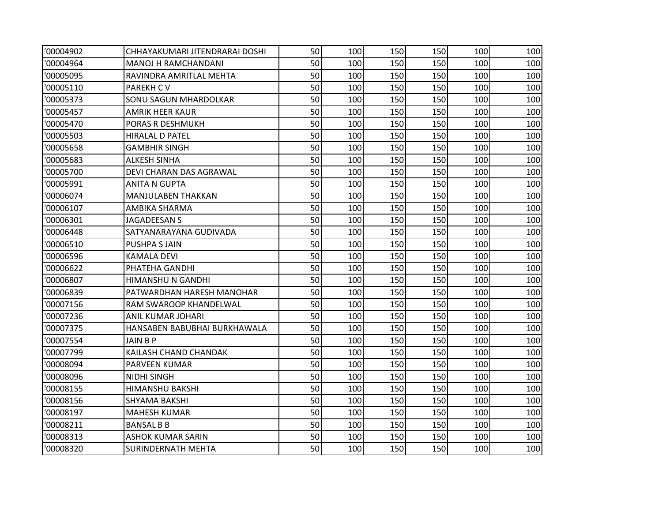| '00004902 | CHHAYAKUMARI JITENDRARAI DOSHI | 50 | 100 | 150 | 150 | 100 | 100 |
|-----------|--------------------------------|----|-----|-----|-----|-----|-----|
| '00004964 | MANOJ H RAMCHANDANI            | 50 | 100 | 150 | 150 | 100 | 100 |
| '00005095 | RAVINDRA AMRITLAL MEHTA        | 50 | 100 | 150 | 150 | 100 | 100 |
| '00005110 | <b>PAREKH CV</b>               | 50 | 100 | 150 | 150 | 100 | 100 |
| '00005373 | <b>SONU SAGUN MHARDOLKAR</b>   | 50 | 100 | 150 | 150 | 100 | 100 |
| '00005457 | <b>AMRIK HEER KAUR</b>         | 50 | 100 | 150 | 150 | 100 | 100 |
| '00005470 | PORAS R DESHMUKH               | 50 | 100 | 150 | 150 | 100 | 100 |
| '00005503 | <b>HIRALAL D PATEL</b>         | 50 | 100 | 150 | 150 | 100 | 100 |
| '00005658 | <b>GAMBHIR SINGH</b>           | 50 | 100 | 150 | 150 | 100 | 100 |
| '00005683 | <b>ALKESH SINHA</b>            | 50 | 100 | 150 | 150 | 100 | 100 |
| '00005700 | DEVI CHARAN DAS AGRAWAL        | 50 | 100 | 150 | 150 | 100 | 100 |
| '00005991 | <b>ANITA N GUPTA</b>           | 50 | 100 | 150 | 150 | 100 | 100 |
| '00006074 | <b>MANJULABEN THAKKAN</b>      | 50 | 100 | 150 | 150 | 100 | 100 |
| '00006107 | AMBIKA SHARMA                  | 50 | 100 | 150 | 150 | 100 | 100 |
| '00006301 | <b>JAGADEESAN S</b>            | 50 | 100 | 150 | 150 | 100 | 100 |
| '00006448 | SATYANARAYANA GUDIVADA         | 50 | 100 | 150 | 150 | 100 | 100 |
| '00006510 | <b>PUSHPA S JAIN</b>           | 50 | 100 | 150 | 150 | 100 | 100 |
| '00006596 | <b>KAMALA DEVI</b>             | 50 | 100 | 150 | 150 | 100 | 100 |
| '00006622 | PHATEHA GANDHI                 | 50 | 100 | 150 | 150 | 100 | 100 |
| '00006807 | HIMANSHU N GANDHI              | 50 | 100 | 150 | 150 | 100 | 100 |
| '00006839 | PATWARDHAN HARESH MANOHAR      | 50 | 100 | 150 | 150 | 100 | 100 |
| '00007156 | RAM SWAROOP KHANDELWAL         | 50 | 100 | 150 | 150 | 100 | 100 |
| '00007236 | <b>ANIL KUMAR JOHARI</b>       | 50 | 100 | 150 | 150 | 100 | 100 |
| '00007375 | HANSABEN BABUBHAI BURKHAWALA   | 50 | 100 | 150 | 150 | 100 | 100 |
| '00007554 | JAIN B P                       | 50 | 100 | 150 | 150 | 100 | 100 |
| '00007799 | KAILASH CHAND CHANDAK          | 50 | 100 | 150 | 150 | 100 | 100 |
| '00008094 | PARVEEN KUMAR                  | 50 | 100 | 150 | 150 | 100 | 100 |
| '00008096 | <b>NIDHI SINGH</b>             | 50 | 100 | 150 | 150 | 100 | 100 |
| '00008155 | <b>HIMANSHU BAKSHI</b>         | 50 | 100 | 150 | 150 | 100 | 100 |
| '00008156 | <b>SHYAMA BAKSHI</b>           | 50 | 100 | 150 | 150 | 100 | 100 |
| '00008197 | <b>MAHESH KUMAR</b>            | 50 | 100 | 150 | 150 | 100 | 100 |
| '00008211 | <b>BANSAL B B</b>              | 50 | 100 | 150 | 150 | 100 | 100 |
| '00008313 | <b>ASHOK KUMAR SARIN</b>       | 50 | 100 | 150 | 150 | 100 | 100 |
| '00008320 | <b>SURINDERNATH MEHTA</b>      | 50 | 100 | 150 | 150 | 100 | 100 |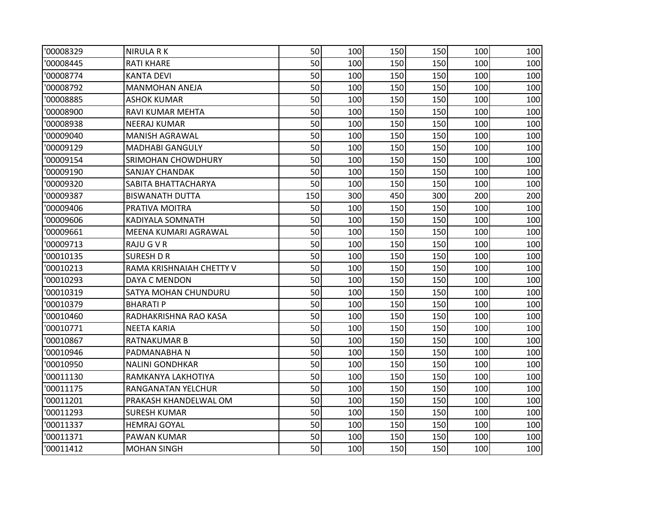| '00008329 | <b>NIRULA RK</b>         | 50  | 100 | 150 | 150 | 100 | 100 |
|-----------|--------------------------|-----|-----|-----|-----|-----|-----|
| '00008445 | <b>RATI KHARE</b>        | 50  | 100 | 150 | 150 | 100 | 100 |
| '00008774 | <b>KANTA DEVI</b>        | 50  | 100 | 150 | 150 | 100 | 100 |
| '00008792 | <b>MANMOHAN ANEJA</b>    | 50  | 100 | 150 | 150 | 100 | 100 |
| '00008885 | <b>ASHOK KUMAR</b>       | 50  | 100 | 150 | 150 | 100 | 100 |
| '00008900 | RAVI KUMAR MEHTA         | 50  | 100 | 150 | 150 | 100 | 100 |
| '00008938 | <b>NEERAJ KUMAR</b>      | 50  | 100 | 150 | 150 | 100 | 100 |
| '00009040 | <b>MANISH AGRAWAL</b>    | 50  | 100 | 150 | 150 | 100 | 100 |
| '00009129 | <b>MADHABI GANGULY</b>   | 50  | 100 | 150 | 150 | 100 | 100 |
| '00009154 | SRIMOHAN CHOWDHURY       | 50  | 100 | 150 | 150 | 100 | 100 |
| '00009190 | <b>SANJAY CHANDAK</b>    | 50  | 100 | 150 | 150 | 100 | 100 |
| '00009320 | SABITA BHATTACHARYA      | 50  | 100 | 150 | 150 | 100 | 100 |
| '00009387 | <b>BISWANATH DUTTA</b>   | 150 | 300 | 450 | 300 | 200 | 200 |
| '00009406 | PRATIVA MOITRA           | 50  | 100 | 150 | 150 | 100 | 100 |
| '00009606 | KADIYALA SOMNATH         | 50  | 100 | 150 | 150 | 100 | 100 |
| '00009661 | MEENA KUMARI AGRAWAL     | 50  | 100 | 150 | 150 | 100 | 100 |
| '00009713 | RAJU G V R               | 50  | 100 | 150 | 150 | 100 | 100 |
| '00010135 | <b>SURESH D R</b>        | 50  | 100 | 150 | 150 | 100 | 100 |
| '00010213 | RAMA KRISHNAIAH CHETTY V | 50  | 100 | 150 | 150 | 100 | 100 |
| '00010293 | DAYA C MENDON            | 50  | 100 | 150 | 150 | 100 | 100 |
| '00010319 | SATYA MOHAN CHUNDURU     | 50  | 100 | 150 | 150 | 100 | 100 |
| '00010379 | BHARATI P                | 50  | 100 | 150 | 150 | 100 | 100 |
| '00010460 | RADHAKRISHNA RAO KASA    | 50  | 100 | 150 | 150 | 100 | 100 |
| '00010771 | <b>NEETA KARIA</b>       | 50  | 100 | 150 | 150 | 100 | 100 |
| '00010867 | RATNAKUMAR B             | 50  | 100 | 150 | 150 | 100 | 100 |
| '00010946 | PADMANABHAN              | 50  | 100 | 150 | 150 | 100 | 100 |
| '00010950 | <b>NALINI GONDHKAR</b>   | 50  | 100 | 150 | 150 | 100 | 100 |
| '00011130 | RAMKANYA LAKHOTIYA       | 50  | 100 | 150 | 150 | 100 | 100 |
| '00011175 | RANGANATAN YELCHUR       | 50  | 100 | 150 | 150 | 100 | 100 |
| '00011201 | PRAKASH KHANDELWAL OM    | 50  | 100 | 150 | 150 | 100 | 100 |
| '00011293 | <b>SURESH KUMAR</b>      | 50  | 100 | 150 | 150 | 100 | 100 |
| '00011337 | <b>HEMRAJ GOYAL</b>      | 50  | 100 | 150 | 150 | 100 | 100 |
| '00011371 | PAWAN KUMAR              | 50  | 100 | 150 | 150 | 100 | 100 |
| '00011412 | <b>MOHAN SINGH</b>       | 50  | 100 | 150 | 150 | 100 | 100 |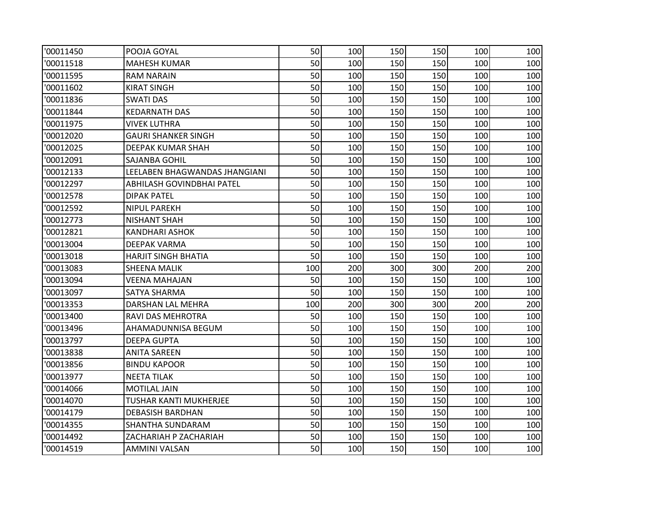| '00011450 | POOJA GOYAL                   | 50  | 100 | 150 | 150 | 100 | 100 |
|-----------|-------------------------------|-----|-----|-----|-----|-----|-----|
| '00011518 | <b>MAHESH KUMAR</b>           | 50  | 100 | 150 | 150 | 100 | 100 |
| '00011595 | <b>RAM NARAIN</b>             | 50  | 100 | 150 | 150 | 100 | 100 |
| '00011602 | <b>KIRAT SINGH</b>            | 50  | 100 | 150 | 150 | 100 | 100 |
| '00011836 | <b>SWATI DAS</b>              | 50  | 100 | 150 | 150 | 100 | 100 |
| '00011844 | <b>KEDARNATH DAS</b>          | 50  | 100 | 150 | 150 | 100 | 100 |
| '00011975 | VIVEK LUTHRA                  | 50  | 100 | 150 | 150 | 100 | 100 |
| '00012020 | <b>GAURI SHANKER SINGH</b>    | 50  | 100 | 150 | 150 | 100 | 100 |
| '00012025 | DEEPAK KUMAR SHAH             | 50  | 100 | 150 | 150 | 100 | 100 |
| '00012091 | SAJANBA GOHIL                 | 50  | 100 | 150 | 150 | 100 | 100 |
| '00012133 | LEELABEN BHAGWANDAS JHANGIANI | 50  | 100 | 150 | 150 | 100 | 100 |
| '00012297 | ABHILASH GOVINDBHAI PATEL     | 50  | 100 | 150 | 150 | 100 | 100 |
| '00012578 | <b>DIPAK PATEL</b>            | 50  | 100 | 150 | 150 | 100 | 100 |
| '00012592 | <b>NIPUL PAREKH</b>           | 50  | 100 | 150 | 150 | 100 | 100 |
| '00012773 | <b>NISHANT SHAH</b>           | 50  | 100 | 150 | 150 | 100 | 100 |
| '00012821 | <b>KANDHARI ASHOK</b>         | 50  | 100 | 150 | 150 | 100 | 100 |
| '00013004 | DEEPAK VARMA                  | 50  | 100 | 150 | 150 | 100 | 100 |
| '00013018 | <b>HARJIT SINGH BHATIA</b>    | 50  | 100 | 150 | 150 | 100 | 100 |
| '00013083 | <b>SHEENA MALIK</b>           | 100 | 200 | 300 | 300 | 200 | 200 |
| '00013094 | VEENA MAHAJAN                 | 50  | 100 | 150 | 150 | 100 | 100 |
| '00013097 | SATYA SHARMA                  | 50  | 100 | 150 | 150 | 100 | 100 |
| '00013353 | DARSHAN LAL MEHRA             | 100 | 200 | 300 | 300 | 200 | 200 |
| '00013400 | RAVI DAS MEHROTRA             | 50  | 100 | 150 | 150 | 100 | 100 |
| '00013496 | AHAMADUNNISA BEGUM            | 50  | 100 | 150 | 150 | 100 | 100 |
| '00013797 | <b>DEEPA GUPTA</b>            | 50  | 100 | 150 | 150 | 100 | 100 |
| '00013838 | <b>ANITA SAREEN</b>           | 50  | 100 | 150 | 150 | 100 | 100 |
| '00013856 | <b>BINDU KAPOOR</b>           | 50  | 100 | 150 | 150 | 100 | 100 |
| '00013977 | <b>NEETA TILAK</b>            | 50  | 100 | 150 | 150 | 100 | 100 |
| '00014066 | <b>MOTILAL JAIN</b>           | 50  | 100 | 150 | 150 | 100 | 100 |
| '00014070 | TUSHAR KANTI MUKHERJEE        | 50  | 100 | 150 | 150 | 100 | 100 |
| '00014179 | <b>DEBASISH BARDHAN</b>       | 50  | 100 | 150 | 150 | 100 | 100 |
| '00014355 | SHANTHA SUNDARAM              | 50  | 100 | 150 | 150 | 100 | 100 |
| '00014492 | ZACHARIAH P ZACHARIAH         | 50  | 100 | 150 | 150 | 100 | 100 |
| '00014519 | <b>AMMINI VALSAN</b>          | 50  | 100 | 150 | 150 | 100 | 100 |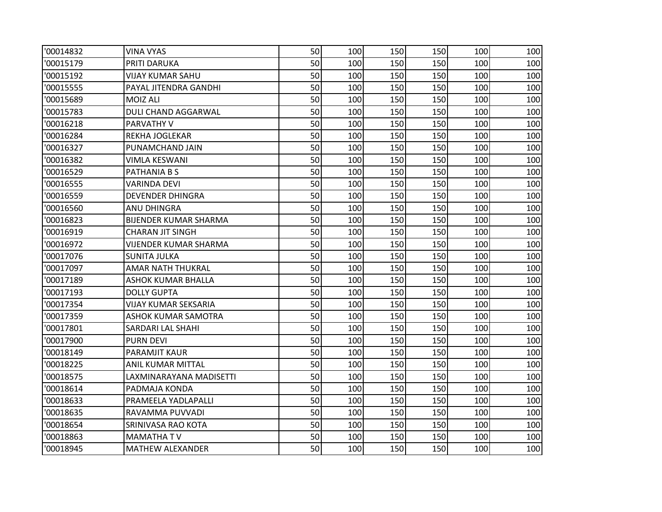| '00014832 | VINA VYAS                    | 50 | 100 | 150 | 150 | 100 | 100 |
|-----------|------------------------------|----|-----|-----|-----|-----|-----|
| '00015179 | PRITI DARUKA                 | 50 | 100 | 150 | 150 | 100 | 100 |
| '00015192 | <b>VIJAY KUMAR SAHU</b>      | 50 | 100 | 150 | 150 | 100 | 100 |
| '00015555 | PAYAL JITENDRA GANDHI        | 50 | 100 | 150 | 150 | 100 | 100 |
| '00015689 | MOIZ ALI                     | 50 | 100 | 150 | 150 | 100 | 100 |
| '00015783 | DULI CHAND AGGARWAL          | 50 | 100 | 150 | 150 | 100 | 100 |
| '00016218 | PARVATHY V                   | 50 | 100 | 150 | 150 | 100 | 100 |
| '00016284 | REKHA JOGLEKAR               | 50 | 100 | 150 | 150 | 100 | 100 |
| '00016327 | PUNAMCHAND JAIN              | 50 | 100 | 150 | 150 | 100 | 100 |
| '00016382 | VIMLA KESWANI                | 50 | 100 | 150 | 150 | 100 | 100 |
| '00016529 | PATHANIA B S                 | 50 | 100 | 150 | 150 | 100 | 100 |
| '00016555 | VARINDA DEVI                 | 50 | 100 | 150 | 150 | 100 | 100 |
| '00016559 | <b>DEVENDER DHINGRA</b>      | 50 | 100 | 150 | 150 | 100 | 100 |
| '00016560 | ANU DHINGRA                  | 50 | 100 | 150 | 150 | 100 | 100 |
| '00016823 | <b>BIJENDER KUMAR SHARMA</b> | 50 | 100 | 150 | 150 | 100 | 100 |
| '00016919 | <b>CHARAN JIT SINGH</b>      | 50 | 100 | 150 | 150 | 100 | 100 |
| '00016972 | VIJENDER KUMAR SHARMA        | 50 | 100 | 150 | 150 | 100 | 100 |
| '00017076 | <b>SUNITA JULKA</b>          | 50 | 100 | 150 | 150 | 100 | 100 |
| '00017097 | <b>AMAR NATH THUKRAL</b>     | 50 | 100 | 150 | 150 | 100 | 100 |
| '00017189 | <b>ASHOK KUMAR BHALLA</b>    | 50 | 100 | 150 | 150 | 100 | 100 |
| '00017193 | <b>DOLLY GUPTA</b>           | 50 | 100 | 150 | 150 | 100 | 100 |
| '00017354 | VIJAY KUMAR SEKSARIA         | 50 | 100 | 150 | 150 | 100 | 100 |
| '00017359 | <b>ASHOK KUMAR SAMOTRA</b>   | 50 | 100 | 150 | 150 | 100 | 100 |
| '00017801 | SARDARI LAL SHAHI            | 50 | 100 | 150 | 150 | 100 | 100 |
| '00017900 | <b>PURN DEVI</b>             | 50 | 100 | 150 | 150 | 100 | 100 |
| '00018149 | <b>PARAMJIT KAUR</b>         | 50 | 100 | 150 | 150 | 100 | 100 |
| '00018225 | ANIL KUMAR MITTAL            | 50 | 100 | 150 | 150 | 100 | 100 |
| '00018575 | LAXMINARAYANA MADISETTI      | 50 | 100 | 150 | 150 | 100 | 100 |
| '00018614 | PADMAJA KONDA                | 50 | 100 | 150 | 150 | 100 | 100 |
| '00018633 | PRAMEELA YADLAPALLI          | 50 | 100 | 150 | 150 | 100 | 100 |
| '00018635 | RAVAMMA PUVVADI              | 50 | 100 | 150 | 150 | 100 | 100 |
| '00018654 | SRINIVASA RAO KOTA           | 50 | 100 | 150 | 150 | 100 | 100 |
| '00018863 | <b>MAMATHATV</b>             | 50 | 100 | 150 | 150 | 100 | 100 |
| '00018945 | <b>MATHEW ALEXANDER</b>      | 50 | 100 | 150 | 150 | 100 | 100 |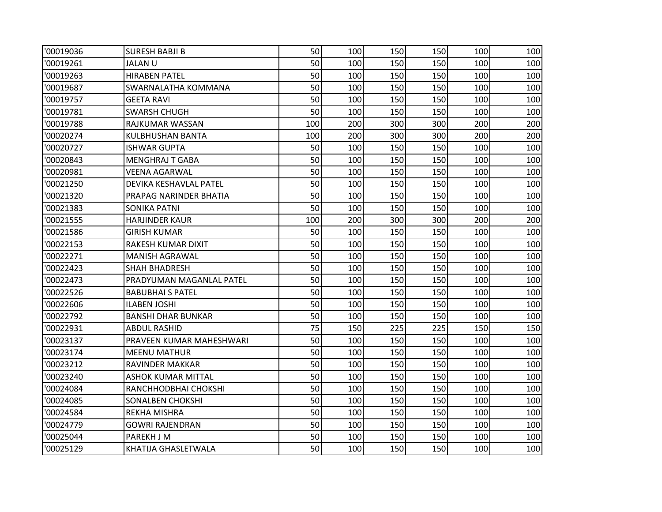| '00019036 | <b>SURESH BABJI B</b>     | 50  | 100 | 150 | 150 | 100 | 100 |
|-----------|---------------------------|-----|-----|-----|-----|-----|-----|
| '00019261 | <b>JALANU</b>             | 50  | 100 | 150 | 150 | 100 | 100 |
| '00019263 | <b>HIRABEN PATEL</b>      | 50  | 100 | 150 | 150 | 100 | 100 |
| '00019687 | SWARNALATHA KOMMANA       | 50  | 100 | 150 | 150 | 100 | 100 |
| '00019757 | <b>GEETA RAVI</b>         | 50  | 100 | 150 | 150 | 100 | 100 |
| '00019781 | <b>SWARSH CHUGH</b>       | 50  | 100 | 150 | 150 | 100 | 100 |
| '00019788 | RAJKUMAR WASSAN           | 100 | 200 | 300 | 300 | 200 | 200 |
| '00020274 | <b>KULBHUSHAN BANTA</b>   | 100 | 200 | 300 | 300 | 200 | 200 |
| '00020727 | ISHWAR GUPTA              | 50  | 100 | 150 | 150 | 100 | 100 |
| '00020843 | <b>MENGHRAJ T GABA</b>    | 50  | 100 | 150 | 150 | 100 | 100 |
| '00020981 | VEENA AGARWAL             | 50  | 100 | 150 | 150 | 100 | 100 |
| '00021250 | DEVIKA KESHAVLAL PATEL    | 50  | 100 | 150 | 150 | 100 | 100 |
| '00021320 | PRAPAG NARINDER BHATIA    | 50  | 100 | 150 | 150 | 100 | 100 |
| '00021383 | <b>SONIKA PATNI</b>       | 50  | 100 | 150 | 150 | 100 | 100 |
| '00021555 | HARJINDER KAUR            | 100 | 200 | 300 | 300 | 200 | 200 |
| '00021586 | <b>GIRISH KUMAR</b>       | 50  | 100 | 150 | 150 | 100 | 100 |
| '00022153 | RAKESH KUMAR DIXIT        | 50  | 100 | 150 | 150 | 100 | 100 |
| '00022271 | <b>MANISH AGRAWAL</b>     | 50  | 100 | 150 | 150 | 100 | 100 |
| '00022423 | SHAH BHADRESH             | 50  | 100 | 150 | 150 | 100 | 100 |
| '00022473 | PRADYUMAN MAGANLAL PATEL  | 50  | 100 | 150 | 150 | 100 | 100 |
| '00022526 | <b>BABUBHAI S PATEL</b>   | 50  | 100 | 150 | 150 | 100 | 100 |
| '00022606 | <b>ILABEN JOSHI</b>       | 50  | 100 | 150 | 150 | 100 | 100 |
| '00022792 | <b>BANSHI DHAR BUNKAR</b> | 50  | 100 | 150 | 150 | 100 | 100 |
| '00022931 | <b>ABDUL RASHID</b>       | 75  | 150 | 225 | 225 | 150 | 150 |
| '00023137 | PRAVEEN KUMAR MAHESHWARI  | 50  | 100 | 150 | 150 | 100 | 100 |
| '00023174 | <b>MEENU MATHUR</b>       | 50  | 100 | 150 | 150 | 100 | 100 |
| '00023212 | RAVINDER MAKKAR           | 50  | 100 | 150 | 150 | 100 | 100 |
| '00023240 | <b>ASHOK KUMAR MITTAL</b> | 50  | 100 | 150 | 150 | 100 | 100 |
| '00024084 | RANCHHODBHAI CHOKSHI      | 50  | 100 | 150 | 150 | 100 | 100 |
| '00024085 | <b>SONALBEN CHOKSHI</b>   | 50  | 100 | 150 | 150 | 100 | 100 |
| '00024584 | REKHA MISHRA              | 50  | 100 | 150 | 150 | 100 | 100 |
| '00024779 | <b>GOWRI RAJENDRAN</b>    | 50  | 100 | 150 | 150 | 100 | 100 |
| '00025044 | PAREKH J M                | 50  | 100 | 150 | 150 | 100 | 100 |
| '00025129 | KHATIJA GHASLETWALA       | 50  | 100 | 150 | 150 | 100 | 100 |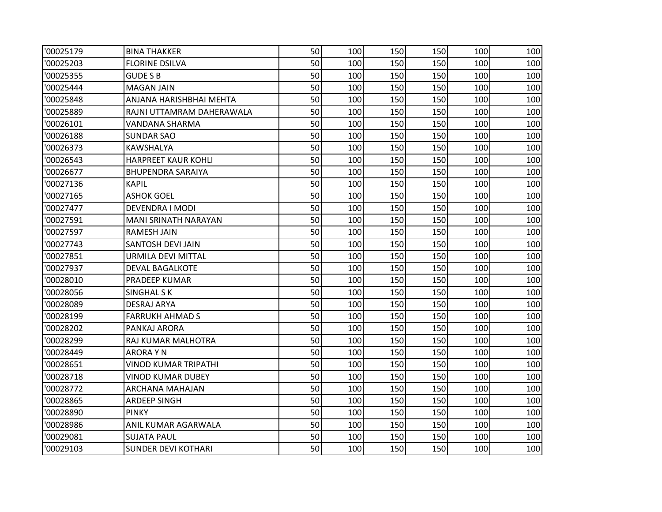| '00025179 | <b>BINA THAKKER</b>         | 50 | 100 | 150 | 150 | 100 | 100 |
|-----------|-----------------------------|----|-----|-----|-----|-----|-----|
| '00025203 | <b>FLORINE DSILVA</b>       | 50 | 100 | 150 | 150 | 100 | 100 |
| '00025355 | <b>GUDE S B</b>             | 50 | 100 | 150 | 150 | 100 | 100 |
| '00025444 | <b>MAGAN JAIN</b>           | 50 | 100 | 150 | 150 | 100 | 100 |
| '00025848 | ANJANA HARISHBHAI MEHTA     | 50 | 100 | 150 | 150 | 100 | 100 |
| '00025889 | RAJNI UTTAMRAM DAHERAWALA   | 50 | 100 | 150 | 150 | 100 | 100 |
| '00026101 | VANDANA SHARMA              | 50 | 100 | 150 | 150 | 100 | 100 |
| '00026188 | <b>SUNDAR SAO</b>           | 50 | 100 | 150 | 150 | 100 | 100 |
| '00026373 | KAWSHALYA                   | 50 | 100 | 150 | 150 | 100 | 100 |
| '00026543 | <b>HARPREET KAUR KOHLI</b>  | 50 | 100 | 150 | 150 | 100 | 100 |
| '00026677 | <b>BHUPENDRA SARAIYA</b>    | 50 | 100 | 150 | 150 | 100 | 100 |
| '00027136 | KAPIL                       | 50 | 100 | 150 | 150 | 100 | 100 |
| '00027165 | <b>ASHOK GOEL</b>           | 50 | 100 | 150 | 150 | 100 | 100 |
| '00027477 | DEVENDRA I MODI             | 50 | 100 | 150 | 150 | 100 | 100 |
| '00027591 | <b>MANI SRINATH NARAYAN</b> | 50 | 100 | 150 | 150 | 100 | 100 |
| '00027597 | <b>RAMESH JAIN</b>          | 50 | 100 | 150 | 150 | 100 | 100 |
| '00027743 | <b>SANTOSH DEVI JAIN</b>    | 50 | 100 | 150 | 150 | 100 | 100 |
| '00027851 | URMILA DEVI MITTAL          | 50 | 100 | 150 | 150 | 100 | 100 |
| '00027937 | <b>DEVAL BAGALKOTE</b>      | 50 | 100 | 150 | 150 | 100 | 100 |
| '00028010 | PRADEEP KUMAR               | 50 | 100 | 150 | 150 | 100 | 100 |
| '00028056 | <b>SINGHAL SK</b>           | 50 | 100 | 150 | 150 | 100 | 100 |
| '00028089 | DESRAJ ARYA                 | 50 | 100 | 150 | 150 | 100 | 100 |
| '00028199 | <b>FARRUKH AHMAD S</b>      | 50 | 100 | 150 | 150 | 100 | 100 |
| '00028202 | PANKAJ ARORA                | 50 | 100 | 150 | 150 | 100 | 100 |
| '00028299 | RAJ KUMAR MALHOTRA          | 50 | 100 | 150 | 150 | 100 | 100 |
| '00028449 | <b>ARORAYN</b>              | 50 | 100 | 150 | 150 | 100 | 100 |
| '00028651 | VINOD KUMAR TRIPATHI        | 50 | 100 | 150 | 150 | 100 | 100 |
| '00028718 | <b>VINOD KUMAR DUBEY</b>    | 50 | 100 | 150 | 150 | 100 | 100 |
| '00028772 | ARCHANA MAHAJAN             | 50 | 100 | 150 | 150 | 100 | 100 |
| '00028865 | <b>ARDEEP SINGH</b>         | 50 | 100 | 150 | 150 | 100 | 100 |
| '00028890 | <b>PINKY</b>                | 50 | 100 | 150 | 150 | 100 | 100 |
| '00028986 | ANIL KUMAR AGARWALA         | 50 | 100 | 150 | 150 | 100 | 100 |
| '00029081 | <b>SUJATA PAUL</b>          | 50 | 100 | 150 | 150 | 100 | 100 |
| '00029103 | <b>SUNDER DEVI KOTHARI</b>  | 50 | 100 | 150 | 150 | 100 | 100 |
|           |                             |    |     |     |     |     |     |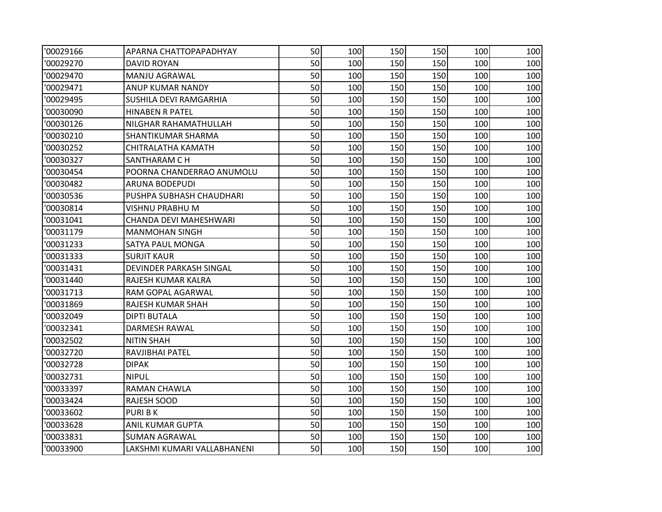| '00029166 | APARNA CHATTOPAPADHYAY      | 50 | 100 | 150 | 150 | 100 | 100 |
|-----------|-----------------------------|----|-----|-----|-----|-----|-----|
| '00029270 | DAVID ROYAN                 | 50 | 100 | 150 | 150 | 100 | 100 |
| '00029470 | MANJU AGRAWAL               | 50 | 100 | 150 | 150 | 100 | 100 |
| '00029471 | ANUP KUMAR NANDY            | 50 | 100 | 150 | 150 | 100 | 100 |
| '00029495 | SUSHILA DEVI RAMGARHIA      | 50 | 100 | 150 | 150 | 100 | 100 |
| '00030090 | <b>HINABEN R PATEL</b>      | 50 | 100 | 150 | 150 | 100 | 100 |
| '00030126 | NILGHAR RAHAMATHULLAH       | 50 | 100 | 150 | 150 | 100 | 100 |
| '00030210 | SHANTIKUMAR SHARMA          | 50 | 100 | 150 | 150 | 100 | 100 |
| '00030252 | CHITRALATHA KAMATH          | 50 | 100 | 150 | 150 | 100 | 100 |
| '00030327 | SANTHARAM C H               | 50 | 100 | 150 | 150 | 100 | 100 |
| '00030454 | POORNA CHANDERRAO ANUMOLU   | 50 | 100 | 150 | 150 | 100 | 100 |
| '00030482 | ARUNA BODEPUDI              | 50 | 100 | 150 | 150 | 100 | 100 |
| '00030536 | PUSHPA SUBHASH CHAUDHARI    | 50 | 100 | 150 | 150 | 100 | 100 |
| '00030814 | VISHNU PRABHU M             | 50 | 100 | 150 | 150 | 100 | 100 |
| '00031041 | CHANDA DEVI MAHESHWARI      | 50 | 100 | 150 | 150 | 100 | 100 |
| '00031179 | <b>MANMOHAN SINGH</b>       | 50 | 100 | 150 | 150 | 100 | 100 |
| '00031233 | SATYA PAUL MONGA            | 50 | 100 | 150 | 150 | 100 | 100 |
| '00031333 | <b>SURJIT KAUR</b>          | 50 | 100 | 150 | 150 | 100 | 100 |
| '00031431 | DEVINDER PARKASH SINGAL     | 50 | 100 | 150 | 150 | 100 | 100 |
| '00031440 | RAJESH KUMAR KALRA          | 50 | 100 | 150 | 150 | 100 | 100 |
| '00031713 | RAM GOPAL AGARWAL           | 50 | 100 | 150 | 150 | 100 | 100 |
| '00031869 | RAJESH KUMAR SHAH           | 50 | 100 | 150 | 150 | 100 | 100 |
| '00032049 | <b>DIPTI BUTALA</b>         | 50 | 100 | 150 | 150 | 100 | 100 |
| '00032341 | DARMESH RAWAL               | 50 | 100 | 150 | 150 | 100 | 100 |
| '00032502 | <b>NITIN SHAH</b>           | 50 | 100 | 150 | 150 | 100 | 100 |
| '00032720 | RAVJIBHAI PATEL             | 50 | 100 | 150 | 150 | 100 | 100 |
| '00032728 | <b>DIPAK</b>                | 50 | 100 | 150 | 150 | 100 | 100 |
| '00032731 | <b>NIPUL</b>                | 50 | 100 | 150 | 150 | 100 | 100 |
| '00033397 | RAMAN CHAWLA                | 50 | 100 | 150 | 150 | 100 | 100 |
| '00033424 | <b>RAJESH SOOD</b>          | 50 | 100 | 150 | 150 | 100 | 100 |
| '00033602 | <b>PURIBK</b>               | 50 | 100 | 150 | 150 | 100 | 100 |
| '00033628 | ANIL KUMAR GUPTA            | 50 | 100 | 150 | 150 | 100 | 100 |
| '00033831 | <b>SUMAN AGRAWAL</b>        | 50 | 100 | 150 | 150 | 100 | 100 |
| '00033900 | LAKSHMI KUMARI VALLABHANENI | 50 | 100 | 150 | 150 | 100 | 100 |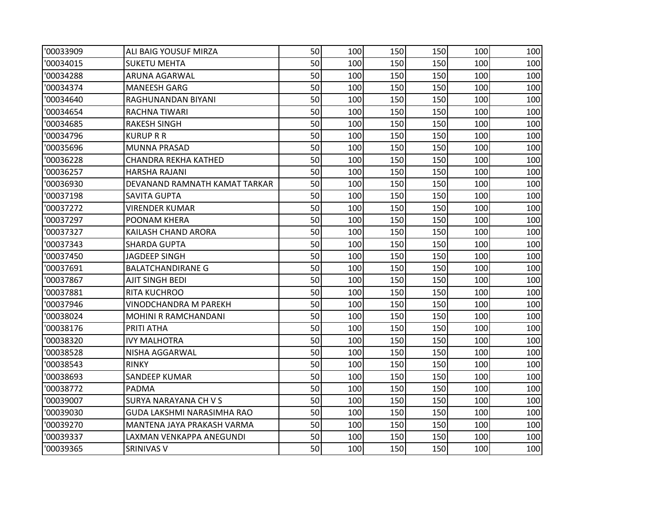| '00033909 | ALI BAIG YOUSUF MIRZA         | 50 | 100 | 150 | 150 | 100 | 100 |
|-----------|-------------------------------|----|-----|-----|-----|-----|-----|
| '00034015 | <b>SUKETU MEHTA</b>           | 50 | 100 | 150 | 150 | 100 | 100 |
| '00034288 | ARUNA AGARWAL                 | 50 | 100 | 150 | 150 | 100 | 100 |
| '00034374 | <b>MANEESH GARG</b>           | 50 | 100 | 150 | 150 | 100 | 100 |
| '00034640 | RAGHUNANDAN BIYANI            | 50 | 100 | 150 | 150 | 100 | 100 |
| '00034654 | RACHNA TIWARI                 | 50 | 100 | 150 | 150 | 100 | 100 |
| '00034685 | <b>RAKESH SINGH</b>           | 50 | 100 | 150 | 150 | 100 | 100 |
| '00034796 | <b>KURUP R R</b>              | 50 | 100 | 150 | 150 | 100 | 100 |
| '00035696 | <b>MUNNA PRASAD</b>           | 50 | 100 | 150 | 150 | 100 | 100 |
| '00036228 | CHANDRA REKHA KATHED          | 50 | 100 | 150 | 150 | 100 | 100 |
| '00036257 | HARSHA RAJANI                 | 50 | 100 | 150 | 150 | 100 | 100 |
| '00036930 | DEVANAND RAMNATH KAMAT TARKAR | 50 | 100 | 150 | 150 | 100 | 100 |
| '00037198 | <b>SAVITA GUPTA</b>           | 50 | 100 | 150 | 150 | 100 | 100 |
| '00037272 | VIRENDER KUMAR                | 50 | 100 | 150 | 150 | 100 | 100 |
| '00037297 | POONAM KHERA                  | 50 | 100 | 150 | 150 | 100 | 100 |
| '00037327 | KAILASH CHAND ARORA           | 50 | 100 | 150 | 150 | 100 | 100 |
| '00037343 | <b>SHARDA GUPTA</b>           | 50 | 100 | 150 | 150 | 100 | 100 |
| '00037450 | JAGDEEP SINGH                 | 50 | 100 | 150 | 150 | 100 | 100 |
| '00037691 | <b>BALATCHANDIRANE G</b>      | 50 | 100 | 150 | 150 | 100 | 100 |
| '00037867 | AJIT SINGH BEDI               | 50 | 100 | 150 | 150 | 100 | 100 |
| '00037881 | RITA KUCHROO                  | 50 | 100 | 150 | 150 | 100 | 100 |
| '00037946 | VINODCHANDRA M PAREKH         | 50 | 100 | 150 | 150 | 100 | 100 |
| '00038024 | MOHINI R RAMCHANDANI          | 50 | 100 | 150 | 150 | 100 | 100 |
| '00038176 | PRITI ATHA                    | 50 | 100 | 150 | 150 | 100 | 100 |
| '00038320 | <b>IVY MALHOTRA</b>           | 50 | 100 | 150 | 150 | 100 | 100 |
| '00038528 | NISHA AGGARWAL                | 50 | 100 | 150 | 150 | 100 | 100 |
| '00038543 | <b>RINKY</b>                  | 50 | 100 | 150 | 150 | 100 | 100 |
| '00038693 | SANDEEP KUMAR                 | 50 | 100 | 150 | 150 | 100 | 100 |
| '00038772 | PADMA                         | 50 | 100 | 150 | 150 | 100 | 100 |
| '00039007 | SURYA NARAYANA CH V S         | 50 | 100 | 150 | 150 | 100 | 100 |
| '00039030 | GUDA LAKSHMI NARASIMHA RAO    | 50 | 100 | 150 | 150 | 100 | 100 |
| '00039270 | MANTENA JAYA PRAKASH VARMA    | 50 | 100 | 150 | 150 | 100 | 100 |
| '00039337 | LAXMAN VENKAPPA ANEGUNDI      | 50 | 100 | 150 | 150 | 100 | 100 |
| '00039365 | SRINIVAS V                    | 50 | 100 | 150 | 150 | 100 | 100 |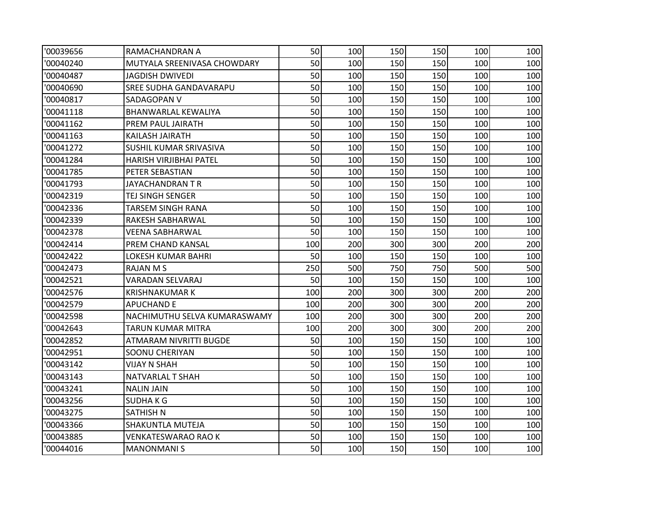| '00039656 | RAMACHANDRAN A                | 50  | 100 | 150 | 150 | 100 | 100 |
|-----------|-------------------------------|-----|-----|-----|-----|-----|-----|
| '00040240 | MUTYALA SREENIVASA CHOWDARY   | 50  | 100 | 150 | 150 | 100 | 100 |
| '00040487 | <b>JAGDISH DWIVEDI</b>        | 50  | 100 | 150 | 150 | 100 | 100 |
| '00040690 | <b>SREE SUDHA GANDAVARAPU</b> | 50  | 100 | 150 | 150 | 100 | 100 |
| '00040817 | SADAGOPAN V                   | 50  | 100 | 150 | 150 | 100 | 100 |
| '00041118 | BHANWARLAL KEWALIYA           | 50  | 100 | 150 | 150 | 100 | 100 |
| '00041162 | PREM PAUL JAIRATH             | 50  | 100 | 150 | 150 | 100 | 100 |
| '00041163 | KAILASH JAIRATH               | 50  | 100 | 150 | 150 | 100 | 100 |
| '00041272 | SUSHIL KUMAR SRIVASIVA        | 50  | 100 | 150 | 150 | 100 | 100 |
| '00041284 | HARISH VIRJIBHAI PATEL        | 50  | 100 | 150 | 150 | 100 | 100 |
| '00041785 | PETER SEBASTIAN               | 50  | 100 | 150 | 150 | 100 | 100 |
| '00041793 | JAYACHANDRAN TR               | 50  | 100 | 150 | 150 | 100 | 100 |
| '00042319 | TEJ SINGH SENGER              | 50  | 100 | 150 | 150 | 100 | 100 |
| '00042336 | TARSEM SINGH RANA             | 50  | 100 | 150 | 150 | 100 | 100 |
| '00042339 | RAKESH SABHARWAL              | 50  | 100 | 150 | 150 | 100 | 100 |
| '00042378 | VEENA SABHARWAL               | 50  | 100 | 150 | 150 | 100 | 100 |
| '00042414 | PREM CHAND KANSAL             | 100 | 200 | 300 | 300 | 200 | 200 |
| '00042422 | LOKESH KUMAR BAHRI            | 50  | 100 | 150 | 150 | 100 | 100 |
| '00042473 | RAJAN M S                     | 250 | 500 | 750 | 750 | 500 | 500 |
| '00042521 | <b>VARADAN SELVARAJ</b>       | 50  | 100 | 150 | 150 | 100 | 100 |
| '00042576 | <b>KRISHNAKUMAR K</b>         | 100 | 200 | 300 | 300 | 200 | 200 |
| '00042579 | APUCHAND E                    | 100 | 200 | 300 | 300 | 200 | 200 |
| '00042598 | NACHIMUTHU SELVA KUMARASWAMY  | 100 | 200 | 300 | 300 | 200 | 200 |
| '00042643 | TARUN KUMAR MITRA             | 100 | 200 | 300 | 300 | 200 | 200 |
| '00042852 | ATMARAM NIVRITTI BUGDE        | 50  | 100 | 150 | 150 | 100 | 100 |
| '00042951 | SOONU CHERIYAN                | 50  | 100 | 150 | 150 | 100 | 100 |
| '00043142 | VIJAY N SHAH                  | 50  | 100 | 150 | 150 | 100 | 100 |
| '00043143 | NATVARLAL T SHAH              | 50  | 100 | 150 | 150 | 100 | 100 |
| '00043241 | <b>NALIN JAIN</b>             | 50  | 100 | 150 | 150 | 100 | 100 |
| '00043256 | <b>SUDHAKG</b>                | 50  | 100 | 150 | 150 | 100 | 100 |
| '00043275 | <b>SATHISH N</b>              | 50  | 100 | 150 | 150 | 100 | 100 |
| '00043366 | SHAKUNTLA MUTEJA              | 50  | 100 | 150 | 150 | 100 | 100 |
| '00043885 | VENKATESWARAO RAO K           | 50  | 100 | 150 | 150 | 100 | 100 |
| '00044016 | <b>MANONMANIS</b>             | 50  | 100 | 150 | 150 | 100 | 100 |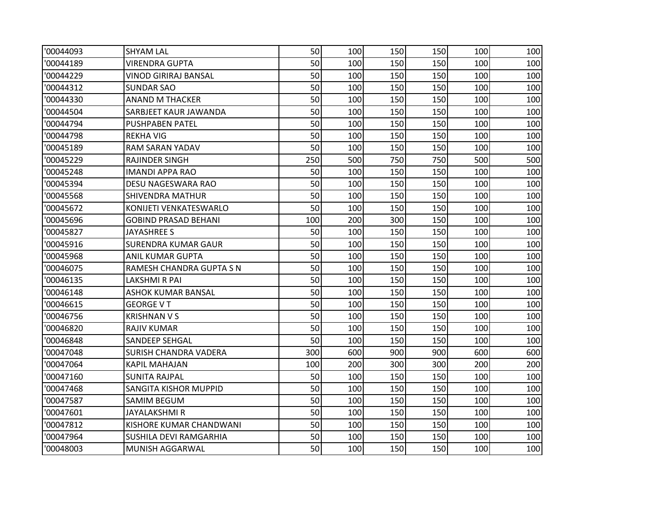| '00044093 | <b>SHYAM LAL</b>             | 50  | 100 | 150 | 150 | 100 | 100 |
|-----------|------------------------------|-----|-----|-----|-----|-----|-----|
| '00044189 | <b>VIRENDRA GUPTA</b>        | 50  | 100 | 150 | 150 | 100 | 100 |
| '00044229 | VINOD GIRIRAJ BANSAL         | 50  | 100 | 150 | 150 | 100 | 100 |
| '00044312 | <b>SUNDAR SAO</b>            | 50  | 100 | 150 | 150 | 100 | 100 |
| '00044330 | <b>ANAND M THACKER</b>       | 50  | 100 | 150 | 150 | 100 | 100 |
| '00044504 | SARBJEET KAUR JAWANDA        | 50  | 100 | 150 | 150 | 100 | 100 |
| '00044794 | <b>PUSHPABEN PATEL</b>       | 50  | 100 | 150 | 150 | 100 | 100 |
| '00044798 | <b>REKHA VIG</b>             | 50  | 100 | 150 | 150 | 100 | 100 |
| '00045189 | RAM SARAN YADAV              | 50  | 100 | 150 | 150 | 100 | 100 |
| '00045229 | <b>RAJINDER SINGH</b>        | 250 | 500 | 750 | 750 | 500 | 500 |
| '00045248 | IMANDI APPA RAO              | 50  | 100 | 150 | 150 | 100 | 100 |
| '00045394 | DESU NAGESWARA RAO           | 50  | 100 | 150 | 150 | 100 | 100 |
| '00045568 | <b>SHIVENDRA MATHUR</b>      | 50  | 100 | 150 | 150 | 100 | 100 |
| '00045672 | KONIJETI VENKATESWARLO       | 50  | 100 | 150 | 150 | 100 | 100 |
| '00045696 | <b>GOBIND PRASAD BEHANI</b>  | 100 | 200 | 300 | 150 | 100 | 100 |
| '00045827 | <b>JAYASHREE S</b>           | 50  | 100 | 150 | 150 | 100 | 100 |
| '00045916 | <b>SURENDRA KUMAR GAUR</b>   | 50  | 100 | 150 | 150 | 100 | 100 |
| '00045968 | <b>ANIL KUMAR GUPTA</b>      | 50  | 100 | 150 | 150 | 100 | 100 |
| '00046075 | RAMESH CHANDRA GUPTA S N     | 50  | 100 | 150 | 150 | 100 | 100 |
| '00046135 | LAKSHMI R PAI                | 50  | 100 | 150 | 150 | 100 | 100 |
| '00046148 | <b>ASHOK KUMAR BANSAL</b>    | 50  | 100 | 150 | 150 | 100 | 100 |
| '00046615 | <b>GEORGE V T</b>            | 50  | 100 | 150 | 150 | 100 | 100 |
| '00046756 | <b>KRISHNAN V S</b>          | 50  | 100 | 150 | 150 | 100 | 100 |
| '00046820 | <b>RAJIV KUMAR</b>           | 50  | 100 | 150 | 150 | 100 | 100 |
| '00046848 | SANDEEP SEHGAL               | 50  | 100 | 150 | 150 | 100 | 100 |
| '00047048 | <b>SURISH CHANDRA VADERA</b> | 300 | 600 | 900 | 900 | 600 | 600 |
| '00047064 | KAPIL MAHAJAN                | 100 | 200 | 300 | 300 | 200 | 200 |
| '00047160 | <b>SUNITA RAJPAL</b>         | 50  | 100 | 150 | 150 | 100 | 100 |
| '00047468 | <b>SANGITA KISHOR MUPPID</b> | 50  | 100 | 150 | 150 | 100 | 100 |
| '00047587 | <b>SAMIM BEGUM</b>           | 50  | 100 | 150 | 150 | 100 | 100 |
| '00047601 | <b>JAYALAKSHMI R</b>         | 50  | 100 | 150 | 150 | 100 | 100 |
| '00047812 | KISHORE KUMAR CHANDWANI      | 50  | 100 | 150 | 150 | 100 | 100 |
| '00047964 | SUSHILA DEVI RAMGARHIA       | 50  | 100 | 150 | 150 | 100 | 100 |
| '00048003 | MUNISH AGGARWAL              | 50  | 100 | 150 | 150 | 100 | 100 |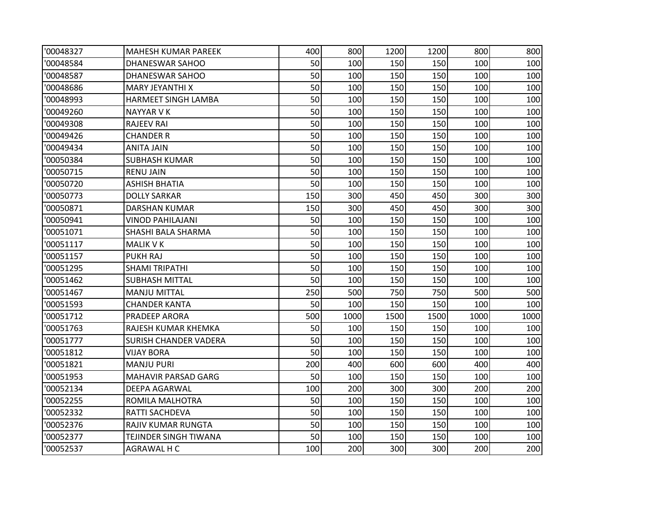| '00048327 | MAHESH KUMAR PAREEK          | 400 | 800  | 1200 | 1200 | 800  | 800  |
|-----------|------------------------------|-----|------|------|------|------|------|
| '00048584 | DHANESWAR SAHOO              | 50  | 100  | 150  | 150  | 100  | 100  |
| '00048587 | DHANESWAR SAHOO              | 50  | 100  | 150  | 150  | 100  | 100  |
| '00048686 | MARY JEYANTHI X              | 50  | 100  | 150  | 150  | 100  | 100  |
| '00048993 | <b>HARMEET SINGH LAMBA</b>   | 50  | 100  | 150  | 150  | 100  | 100  |
| '00049260 | <b>NAYYAR VK</b>             | 50  | 100  | 150  | 150  | 100  | 100  |
| '00049308 | <b>RAJEEV RAI</b>            | 50  | 100  | 150  | 150  | 100  | 100  |
| '00049426 | <b>CHANDER R</b>             | 50  | 100  | 150  | 150  | 100  | 100  |
| '00049434 | <b>ANITA JAIN</b>            | 50  | 100  | 150  | 150  | 100  | 100  |
| '00050384 | <b>SUBHASH KUMAR</b>         | 50  | 100  | 150  | 150  | 100  | 100  |
| '00050715 | <b>RENU JAIN</b>             | 50  | 100  | 150  | 150  | 100  | 100  |
| '00050720 | <b>ASHISH BHATIA</b>         | 50  | 100  | 150  | 150  | 100  | 100  |
| '00050773 | <b>DOLLY SARKAR</b>          | 150 | 300  | 450  | 450  | 300  | 300  |
| '00050871 | <b>DARSHAN KUMAR</b>         | 150 | 300  | 450  | 450  | 300  | 300  |
| '00050941 | <b>VINOD PAHILAJANI</b>      | 50  | 100  | 150  | 150  | 100  | 100  |
| '00051071 | SHASHI BALA SHARMA           | 50  | 100  | 150  | 150  | 100  | 100  |
| '00051117 | <b>MALIK V K</b>             | 50  | 100  | 150  | 150  | 100  | 100  |
| '00051157 | <b>PUKH RAJ</b>              | 50  | 100  | 150  | 150  | 100  | 100  |
| '00051295 | <b>SHAMI TRIPATHI</b>        | 50  | 100  | 150  | 150  | 100  | 100  |
| '00051462 | <b>SUBHASH MITTAL</b>        | 50  | 100  | 150  | 150  | 100  | 100  |
| '00051467 | <b>MANJU MITTAL</b>          | 250 | 500  | 750  | 750  | 500  | 500  |
| '00051593 | CHANDER KANTA                | 50  | 100  | 150  | 150  | 100  | 100  |
| '00051712 | <b>PRADEEP ARORA</b>         | 500 | 1000 | 1500 | 1500 | 1000 | 1000 |
| '00051763 | RAJESH KUMAR KHEMKA          | 50  | 100  | 150  | 150  | 100  | 100  |
| '00051777 | <b>SURISH CHANDER VADERA</b> | 50  | 100  | 150  | 150  | 100  | 100  |
| '00051812 | <b>VIJAY BORA</b>            | 50  | 100  | 150  | 150  | 100  | 100  |
| '00051821 | <b>MANJU PURI</b>            | 200 | 400  | 600  | 600  | 400  | 400  |
| '00051953 | MAHAVIR PARSAD GARG          | 50  | 100  | 150  | 150  | 100  | 100  |
| '00052134 | DEEPA AGARWAL                | 100 | 200  | 300  | 300  | 200  | 200  |
| '00052255 | ROMILA MALHOTRA              | 50  | 100  | 150  | 150  | 100  | 100  |
| '00052332 | RATTI SACHDEVA               | 50  | 100  | 150  | 150  | 100  | 100  |
| '00052376 | RAJIV KUMAR RUNGTA           | 50  | 100  | 150  | 150  | 100  | 100  |
| '00052377 | TEJINDER SINGH TIWANA        | 50  | 100  | 150  | 150  | 100  | 100  |
| '00052537 | AGRAWAL H C                  | 100 | 200  | 300  | 300  | 200  | 200  |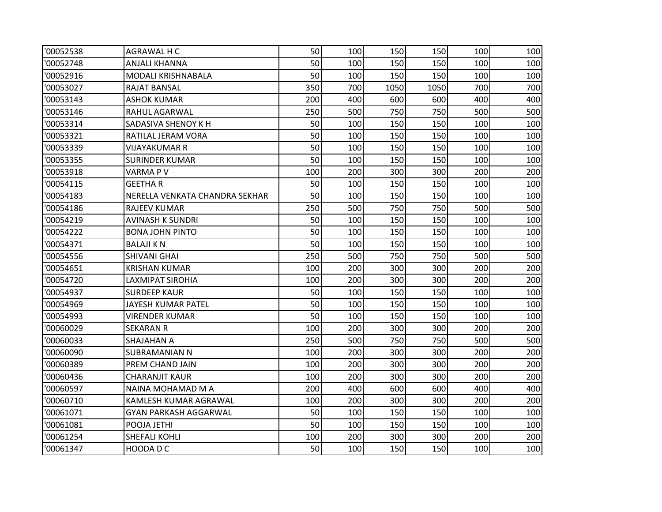| '00052538 | AGRAWAL H C                    | 50  | 100 | 150  | 150  | 100 | 100 |
|-----------|--------------------------------|-----|-----|------|------|-----|-----|
| '00052748 | ANJALI KHANNA                  | 50  | 100 | 150  | 150  | 100 | 100 |
| '00052916 | MODALI KRISHNABALA             | 50  | 100 | 150  | 150  | 100 | 100 |
| '00053027 | RAJAT BANSAL                   | 350 | 700 | 1050 | 1050 | 700 | 700 |
| '00053143 | <b>ASHOK KUMAR</b>             | 200 | 400 | 600  | 600  | 400 | 400 |
| '00053146 | RAHUL AGARWAL                  | 250 | 500 | 750  | 750  | 500 | 500 |
| '00053314 | SADASIVA SHENOY K H            | 50  | 100 | 150  | 150  | 100 | 100 |
| '00053321 | RATILAL JERAM VORA             | 50  | 100 | 150  | 150  | 100 | 100 |
| '00053339 | <b>VIJAYAKUMAR R</b>           | 50  | 100 | 150  | 150  | 100 | 100 |
| '00053355 | <b>SURINDER KUMAR</b>          | 50  | 100 | 150  | 150  | 100 | 100 |
| '00053918 | VARMA P V                      | 100 | 200 | 300  | 300  | 200 | 200 |
| '00054115 | <b>GEETHAR</b>                 | 50  | 100 | 150  | 150  | 100 | 100 |
| '00054183 | NERELLA VENKATA CHANDRA SEKHAR | 50  | 100 | 150  | 150  | 100 | 100 |
| '00054186 | <b>RAJEEV KUMAR</b>            | 250 | 500 | 750  | 750  | 500 | 500 |
| '00054219 | AVINASH K SUNDRI               | 50  | 100 | 150  | 150  | 100 | 100 |
| '00054222 | <b>BONA JOHN PINTO</b>         | 50  | 100 | 150  | 150  | 100 | 100 |
| '00054371 | BALAJI K N                     | 50  | 100 | 150  | 150  | 100 | 100 |
| '00054556 | <b>SHIVANI GHAI</b>            | 250 | 500 | 750  | 750  | 500 | 500 |
| '00054651 | <b>KRISHAN KUMAR</b>           | 100 | 200 | 300  | 300  | 200 | 200 |
| '00054720 | <b>LAXMIPAT SIROHIA</b>        | 100 | 200 | 300  | 300  | 200 | 200 |
| '00054937 | <b>SURDEEP KAUR</b>            | 50  | 100 | 150  | 150  | 100 | 100 |
| '00054969 | JAYESH KUMAR PATEL             | 50  | 100 | 150  | 150  | 100 | 100 |
| '00054993 | <b>VIRENDER KUMAR</b>          | 50  | 100 | 150  | 150  | 100 | 100 |
| '00060029 | <b>SEKARAN R</b>               | 100 | 200 | 300  | 300  | 200 | 200 |
| '00060033 | SHAJAHAN A                     | 250 | 500 | 750  | 750  | 500 | 500 |
| '00060090 | SUBRAMANIAN N                  | 100 | 200 | 300  | 300  | 200 | 200 |
| '00060389 | PREM CHAND JAIN                | 100 | 200 | 300  | 300  | 200 | 200 |
| '00060436 | <b>CHARANJIT KAUR</b>          | 100 | 200 | 300  | 300  | 200 | 200 |
| '00060597 | NAINA MOHAMAD M A              | 200 | 400 | 600  | 600  | 400 | 400 |
| '00060710 | KAMLESH KUMAR AGRAWAL          | 100 | 200 | 300  | 300  | 200 | 200 |
| '00061071 | <b>GYAN PARKASH AGGARWAL</b>   | 50  | 100 | 150  | 150  | 100 | 100 |
| '00061081 | POOJA JETHI                    | 50  | 100 | 150  | 150  | 100 | 100 |
| '00061254 | SHEFALI KOHLI                  | 100 | 200 | 300  | 300  | 200 | 200 |
| '00061347 | HOODA D C                      | 50  | 100 | 150  | 150  | 100 | 100 |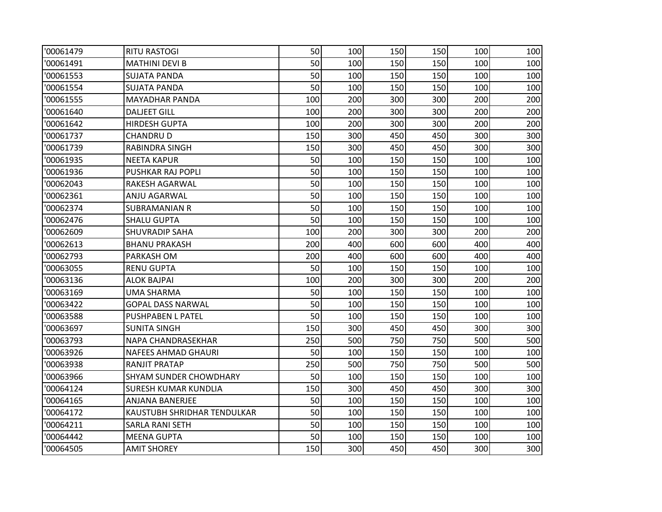| '00061479 | <b>RITU RASTOGI</b>           | 50  | 100 | 150 | 150 | 100 | 100 |
|-----------|-------------------------------|-----|-----|-----|-----|-----|-----|
| '00061491 | <b>MATHINI DEVI B</b>         | 50  | 100 | 150 | 150 | 100 | 100 |
| '00061553 | <b>SUJATA PANDA</b>           | 50  | 100 | 150 | 150 | 100 | 100 |
| '00061554 | <b>SUJATA PANDA</b>           | 50  | 100 | 150 | 150 | 100 | 100 |
| '00061555 | <b>MAYADHAR PANDA</b>         | 100 | 200 | 300 | 300 | 200 | 200 |
| '00061640 | <b>DALJEET GILL</b>           | 100 | 200 | 300 | 300 | 200 | 200 |
| '00061642 | <b>HIRDESH GUPTA</b>          | 100 | 200 | 300 | 300 | 200 | 200 |
| '00061737 | <b>CHANDRUD</b>               | 150 | 300 | 450 | 450 | 300 | 300 |
| '00061739 | RABINDRA SINGH                | 150 | 300 | 450 | 450 | 300 | 300 |
| '00061935 | <b>NEETA KAPUR</b>            | 50  | 100 | 150 | 150 | 100 | 100 |
| '00061936 | <b>PUSHKAR RAJ POPLI</b>      | 50  | 100 | 150 | 150 | 100 | 100 |
| '00062043 | RAKESH AGARWAL                | 50  | 100 | 150 | 150 | 100 | 100 |
| '00062361 | ANJU AGARWAL                  | 50  | 100 | 150 | 150 | 100 | 100 |
| '00062374 | SUBRAMANIAN R                 | 50  | 100 | 150 | 150 | 100 | 100 |
| '00062476 | SHALU GUPTA                   | 50  | 100 | 150 | 150 | 100 | 100 |
| '00062609 | <b>SHUVRADIP SAHA</b>         | 100 | 200 | 300 | 300 | 200 | 200 |
| '00062613 | <b>BHANU PRAKASH</b>          | 200 | 400 | 600 | 600 | 400 | 400 |
| '00062793 | <b>PARKASH OM</b>             | 200 | 400 | 600 | 600 | 400 | 400 |
| '00063055 | <b>RENU GUPTA</b>             | 50  | 100 | 150 | 150 | 100 | 100 |
| '00063136 | <b>ALOK BAJPAI</b>            | 100 | 200 | 300 | 300 | 200 | 200 |
| '00063169 | <b>UMA SHARMA</b>             | 50  | 100 | 150 | 150 | 100 | 100 |
| '00063422 | <b>GOPAL DASS NARWAL</b>      | 50  | 100 | 150 | 150 | 100 | 100 |
| '00063588 | <b>PUSHPABEN L PATEL</b>      | 50  | 100 | 150 | 150 | 100 | 100 |
| '00063697 | <b>SUNITA SINGH</b>           | 150 | 300 | 450 | 450 | 300 | 300 |
| '00063793 | NAPA CHANDRASEKHAR            | 250 | 500 | 750 | 750 | 500 | 500 |
| '00063926 | <b>NAFEES AHMAD GHAURI</b>    | 50  | 100 | 150 | 150 | 100 | 100 |
| '00063938 | RANJIT PRATAP                 | 250 | 500 | 750 | 750 | 500 | 500 |
| '00063966 | <b>SHYAM SUNDER CHOWDHARY</b> | 50  | 100 | 150 | 150 | 100 | 100 |
| '00064124 | <b>SURESH KUMAR KUNDLIA</b>   | 150 | 300 | 450 | 450 | 300 | 300 |
| '00064165 | ANJANA BANERJEE               | 50  | 100 | 150 | 150 | 100 | 100 |
| '00064172 | KAUSTUBH SHRIDHAR TENDULKAR   | 50  | 100 | 150 | 150 | 100 | 100 |
| '00064211 | SARLA RANI SETH               | 50  | 100 | 150 | 150 | 100 | 100 |
| '00064442 | <b>MEENA GUPTA</b>            | 50  | 100 | 150 | 150 | 100 | 100 |
| '00064505 | <b>AMIT SHOREY</b>            | 150 | 300 | 450 | 450 | 300 | 300 |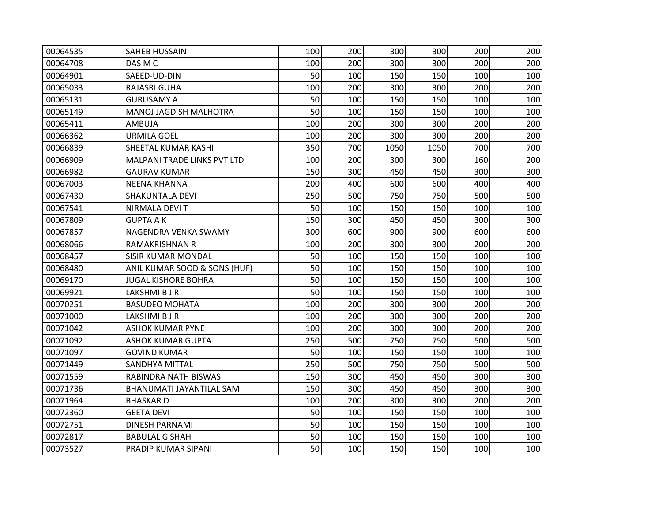| '00064535 | <b>SAHEB HUSSAIN</b>            | 100 | 200 | 300  | 300  | 200 | 200 |
|-----------|---------------------------------|-----|-----|------|------|-----|-----|
| '00064708 | DAS M C                         | 100 | 200 | 300  | 300  | 200 | 200 |
| '00064901 | SAEED-UD-DIN                    | 50  | 100 | 150  | 150  | 100 | 100 |
| '00065033 | RAJASRI GUHA                    | 100 | 200 | 300  | 300  | 200 | 200 |
| '00065131 | <b>GURUSAMY A</b>               | 50  | 100 | 150  | 150  | 100 | 100 |
| '00065149 | MANOJ JAGDISH MALHOTRA          | 50  | 100 | 150  | 150  | 100 | 100 |
| '00065411 | AMBUJA                          | 100 | 200 | 300  | 300  | 200 | 200 |
| '00066362 | <b>URMILA GOEL</b>              | 100 | 200 | 300  | 300  | 200 | 200 |
| '00066839 | SHEETAL KUMAR KASHI             | 350 | 700 | 1050 | 1050 | 700 | 700 |
| '00066909 | MALPANI TRADE LINKS PVT LTD     | 100 | 200 | 300  | 300  | 160 | 200 |
| '00066982 | <b>GAURAV KUMAR</b>             | 150 | 300 | 450  | 450  | 300 | 300 |
| '00067003 | <b>NEENA KHANNA</b>             | 200 | 400 | 600  | 600  | 400 | 400 |
| '00067430 | <b>SHAKUNTALA DEVI</b>          | 250 | 500 | 750  | 750  | 500 | 500 |
| '00067541 | NIRMALA DEVI T                  | 50  | 100 | 150  | 150  | 100 | 100 |
| '00067809 | <b>GUPTA AK</b>                 | 150 | 300 | 450  | 450  | 300 | 300 |
| '00067857 | NAGENDRA VENKA SWAMY            | 300 | 600 | 900  | 900  | 600 | 600 |
| '00068066 | RAMAKRISHNAN R                  | 100 | 200 | 300  | 300  | 200 | 200 |
| '00068457 | <b>SISIR KUMAR MONDAL</b>       | 50  | 100 | 150  | 150  | 100 | 100 |
| '00068480 | ANIL KUMAR SOOD & SONS (HUF)    | 50  | 100 | 150  | 150  | 100 | 100 |
| '00069170 | <b>JUGAL KISHORE BOHRA</b>      | 50  | 100 | 150  | 150  | 100 | 100 |
| '00069921 | LAKSHMI B J R                   | 50  | 100 | 150  | 150  | 100 | 100 |
| '00070251 | <b>BASUDEO MOHATA</b>           | 100 | 200 | 300  | 300  | 200 | 200 |
| '00071000 | LAKSHMI B J R                   | 100 | 200 | 300  | 300  | 200 | 200 |
| '00071042 | <b>ASHOK KUMAR PYNE</b>         | 100 | 200 | 300  | 300  | 200 | 200 |
| '00071092 | <b>ASHOK KUMAR GUPTA</b>        | 250 | 500 | 750  | 750  | 500 | 500 |
| '00071097 | <b>GOVIND KUMAR</b>             | 50  | 100 | 150  | 150  | 100 | 100 |
| '00071449 | SANDHYA MITTAL                  | 250 | 500 | 750  | 750  | 500 | 500 |
| '00071559 | RABINDRA NATH BISWAS            | 150 | 300 | 450  | 450  | 300 | 300 |
| '00071736 | <b>BHANUMATI JAYANTILAL SAM</b> | 150 | 300 | 450  | 450  | 300 | 300 |
| '00071964 | <b>BHASKARD</b>                 | 100 | 200 | 300  | 300  | 200 | 200 |
| '00072360 | <b>GEETA DEVI</b>               | 50  | 100 | 150  | 150  | 100 | 100 |
| '00072751 | DINESH PARNAMI                  | 50  | 100 | 150  | 150  | 100 | 100 |
| '00072817 | <b>BABULAL G SHAH</b>           | 50  | 100 | 150  | 150  | 100 | 100 |
| '00073527 | PRADIP KUMAR SIPANI             | 50  | 100 | 150  | 150  | 100 | 100 |